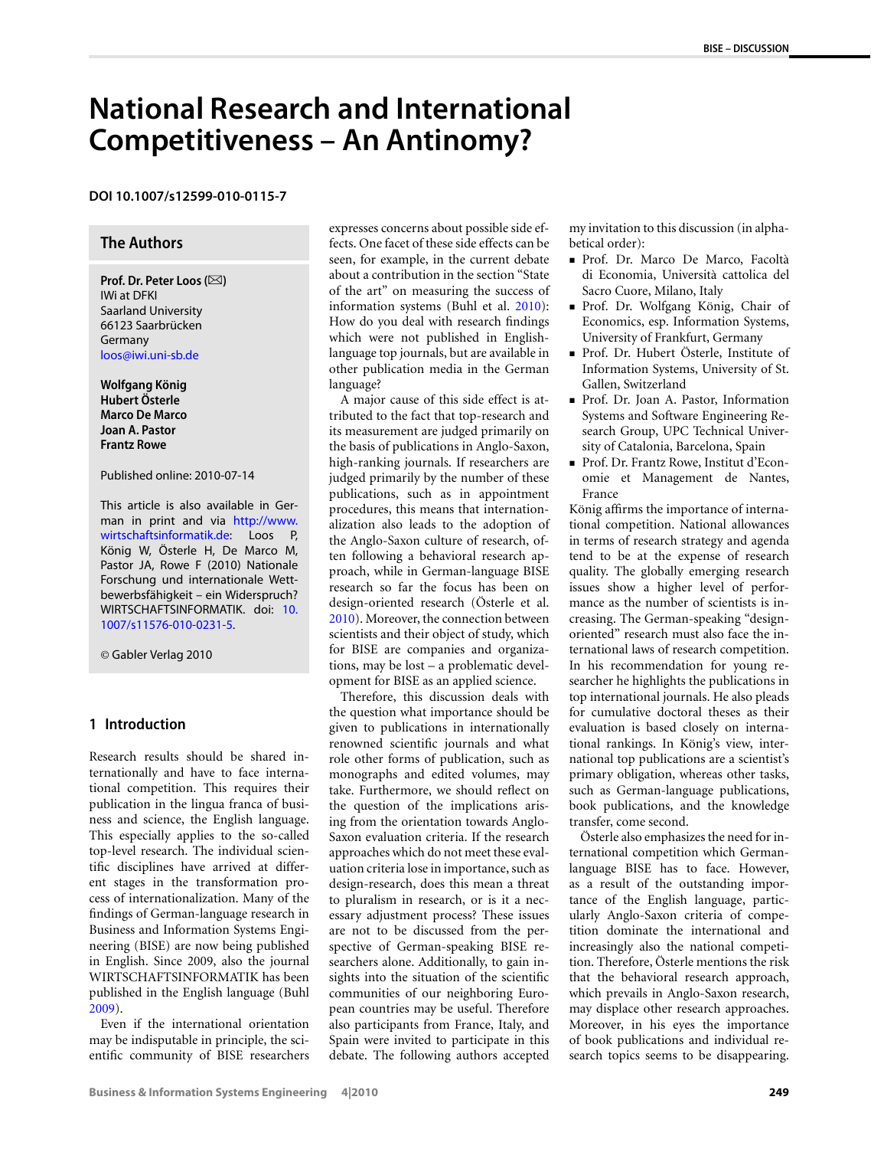# **National Research and International Competitiveness – An Antinomy?**

#### **DOI 10.1007/s12599-010-0115-7**

# **The Authors**

 $\mathsf{Prof.}$  Dr. Peter Loos ( $\boxtimes$ ) IWi at DFKI Saarland University 66123 Saarbrücken Germany [loos@iwi.uni-sb.de](mailto:loos@iwi.uni-sb.de)

**Wolfgang König Hubert Österle Marco De Marco Joan A. Pastor Frantz Rowe**

#### Published online: 2010-07-14

This article is also available in German in print and via [http://www.](http://www.wirtschaftsinformatik.de) [wirtschaftsinformatik.de:](http://www.wirtschaftsinformatik.de) Loos P, König W, Österle H, De Marco M, Pastor JA, Rowe F (2010) Nationale Forschung und internationale Wettbewerbsfähigkeit – ein Widerspruch? WIRTSCHAFTSINFORMATIK. doi: [10.](http://dx.doi.org/10.1007/s11576-010-0231-5) [1007/s11576-010-0231-5.](http://dx.doi.org/10.1007/s11576-010-0231-5)

© Gabler Verlag 2010

## **1 Introduction**

Research results should be shared internationally and have to face international competition. This requires their publication in the lingua franca of business and science, the English language. This especially applies to the so-called top-level research. The individual scientific disciplines have arrived at different stages in the transformation process of internationalization. Many of the findings of German-language research in Business and Information Systems Engineering (BISE) are now being published in English. Since 2009, also the journal WIRTSCHAFTSINFORMATIK has been published in the English language (Buhl [2009\)](#page-8-0).

Even if the international orientation may be indisputable in principle, the scientific community of BISE researchers expresses concerns about possible side effects. One facet of these side effects can be seen, for example, in the current debate about a contribution in the section "State of the art" on measuring the success of information systems (Buhl et al. [2010](#page-8-0)): How do you deal with research findings which were not published in Englishlanguage top journals, but are available in other publication media in the German language?

A major cause of this side effect is attributed to the fact that top-research and its measurement are judged primarily on the basis of publications in Anglo-Saxon, high-ranking journals. If researchers are judged primarily by the number of these publications, such as in appointment procedures, this means that internationalization also leads to the adoption of the Anglo-Saxon culture of research, often following a behavioral research approach, while in German-language BISE research so far the focus has been on design-oriented research (Österle et al. [2010](#page-9-0)). Moreover, the connection between scientists and their object of study, which for BISE are companies and organizations, may be lost – a problematic development for BISE as an applied science.

Therefore, this discussion deals with the question what importance should be given to publications in internationally renowned scientific journals and what role other forms of publication, such as monographs and edited volumes, may take. Furthermore, we should reflect on the question of the implications arising from the orientation towards Anglo-Saxon evaluation criteria. If the research approaches which do not meet these evaluation criteria lose in importance, such as design-research, does this mean a threat to pluralism in research, or is it a necessary adjustment process? These issues are not to be discussed from the perspective of German-speaking BISE researchers alone. Additionally, to gain insights into the situation of the scientific communities of our neighboring European countries may be useful. Therefore also participants from France, Italy, and Spain were invited to participate in this debate. The following authors accepted

my invitation to this discussion (in alphabetical order):

- Prof. Dr. Marco De Marco, Facoltà di Economia, Università cattolica del Sacro Cuore, Milano, Italy
- Prof. Dr. Wolfgang König, Chair of Economics, esp. Information Systems, University of Frankfurt, Germany
- Prof. Dr. Hubert Österle, Institute of Information Systems, University of St. Gallen, Switzerland
- Prof. Dr. Joan A. Pastor, Information Systems and Software Engineering Research Group, UPC Technical University of Catalonia, Barcelona, Spain
- Prof. Dr. Frantz Rowe, Institut d'Economie et Management de Nantes, France

König affirms the importance of international competition. National allowances in terms of research strategy and agenda tend to be at the expense of research quality. The globally emerging research issues show a higher level of performance as the number of scientists is increasing. The German-speaking "designoriented" research must also face the international laws of research competition. In his recommendation for young researcher he highlights the publications in top international journals. He also pleads for cumulative doctoral theses as their evaluation is based closely on international rankings. In König's view, international top publications are a scientist's primary obligation, whereas other tasks, such as German-language publications, book publications, and the knowledge transfer, come second.

Österle also emphasizes the need for international competition which Germanlanguage BISE has to face. However, as a result of the outstanding importance of the English language, particularly Anglo-Saxon criteria of competition dominate the international and increasingly also the national competition. Therefore, Österle mentions the risk that the behavioral research approach, which prevails in Anglo-Saxon research, may displace other research approaches. Moreover, in his eyes the importance of book publications and individual research topics seems to be disappearing.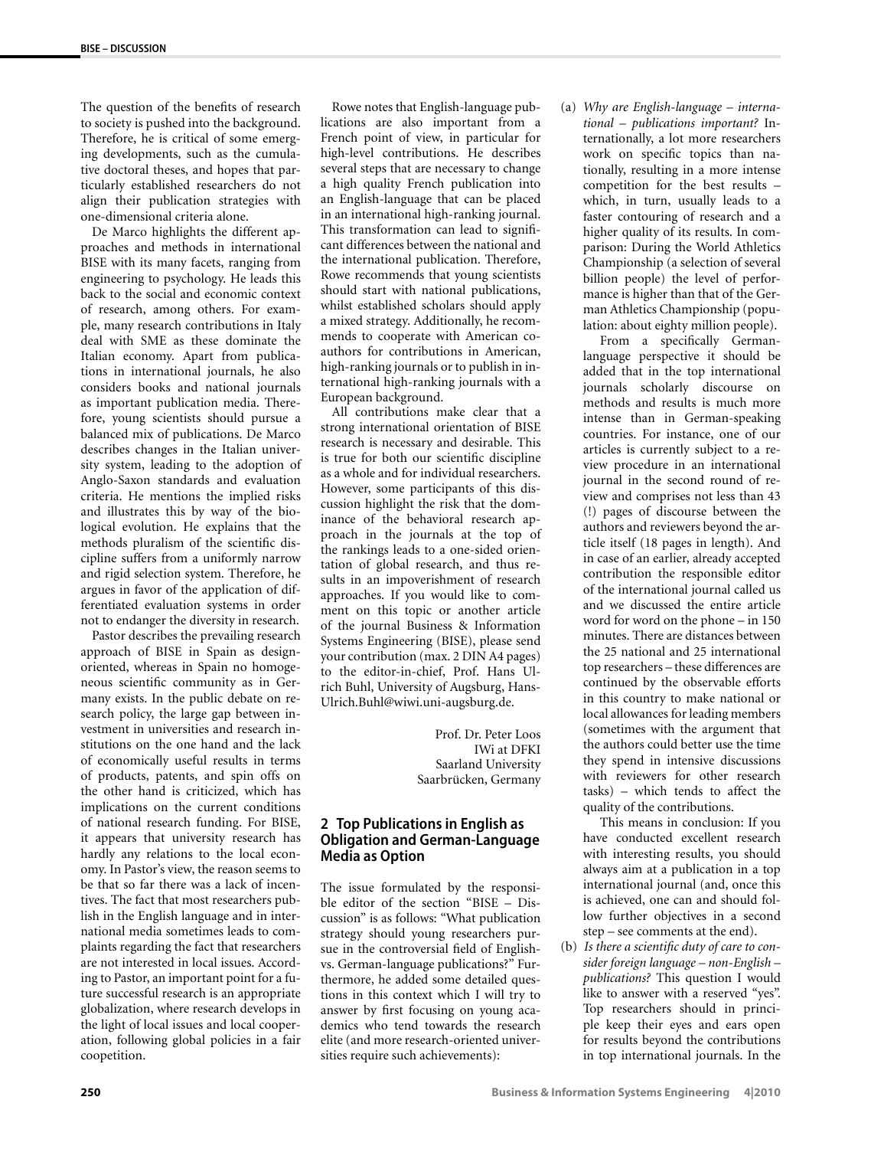The question of the benefits of research to society is pushed into the background. Therefore, he is critical of some emerging developments, such as the cumulative doctoral theses, and hopes that particularly established researchers do not align their publication strategies with one-dimensional criteria alone.

De Marco highlights the different approaches and methods in international BISE with its many facets, ranging from engineering to psychology. He leads this back to the social and economic context of research, among others. For example, many research contributions in Italy deal with SME as these dominate the Italian economy. Apart from publications in international journals, he also considers books and national journals as important publication media. Therefore, young scientists should pursue a balanced mix of publications. De Marco describes changes in the Italian university system, leading to the adoption of Anglo-Saxon standards and evaluation criteria. He mentions the implied risks and illustrates this by way of the biological evolution. He explains that the methods pluralism of the scientific discipline suffers from a uniformly narrow and rigid selection system. Therefore, he argues in favor of the application of differentiated evaluation systems in order not to endanger the diversity in research.

Pastor describes the prevailing research approach of BISE in Spain as designoriented, whereas in Spain no homogeneous scientific community as in Germany exists. In the public debate on research policy, the large gap between investment in universities and research institutions on the one hand and the lack of economically useful results in terms of products, patents, and spin offs on the other hand is criticized, which has implications on the current conditions of national research funding. For BISE, it appears that university research has hardly any relations to the local economy. In Pastor's view, the reason seems to be that so far there was a lack of incentives. The fact that most researchers publish in the English language and in international media sometimes leads to complaints regarding the fact that researchers are not interested in local issues. According to Pastor, an important point for a future successful research is an appropriate globalization, where research develops in the light of local issues and local cooperation, following global policies in a fair coopetition.

Rowe notes that English-language publications are also important from a French point of view, in particular for high-level contributions. He describes several steps that are necessary to change a high quality French publication into an English-language that can be placed in an international high-ranking journal. This transformation can lead to significant differences between the national and the international publication. Therefore, Rowe recommends that young scientists should start with national publications, whilst established scholars should apply a mixed strategy. Additionally, he recommends to cooperate with American coauthors for contributions in American, high-ranking journals or to publish in international high-ranking journals with a European background.

All contributions make clear that a strong international orientation of BISE research is necessary and desirable. This is true for both our scientific discipline as a whole and for individual researchers. However, some participants of this discussion highlight the risk that the dominance of the behavioral research approach in the journals at the top of the rankings leads to a one-sided orientation of global research, and thus results in an impoverishment of research approaches. If you would like to comment on this topic or another article of the journal Business & Information Systems Engineering (BISE), please send your contribution (max. 2 DIN A4 pages) to the editor-in-chief, Prof. Hans Ulrich Buhl, University of Augsburg, Hans-Ulrich.Buhl@wiwi.uni-augsburg.de.

> Prof. Dr. Peter Loos IWi at DFKI Saarland University Saarbrücken, Germany

# **2 Top Publications in English as Obligation and German-Language Media as Option**

The issue formulated by the responsible editor of the section "BISE – Discussion" is as follows: "What publication strategy should young researchers pursue in the controversial field of Englishvs. German-language publications?" Furthermore, he added some detailed questions in this context which I will try to answer by first focusing on young academics who tend towards the research elite (and more research-oriented universities require such achievements):

(a) *Why are English-language – international – publications important?* Internationally, a lot more researchers work on specific topics than nationally, resulting in a more intense competition for the best results – which, in turn, usually leads to a faster contouring of research and a higher quality of its results. In comparison: During the World Athletics Championship (a selection of several billion people) the level of performance is higher than that of the German Athletics Championship (population: about eighty million people).

From a specifically Germanlanguage perspective it should be added that in the top international journals scholarly discourse on methods and results is much more intense than in German-speaking countries. For instance, one of our articles is currently subject to a review procedure in an international journal in the second round of review and comprises not less than 43 (!) pages of discourse between the authors and reviewers beyond the article itself (18 pages in length). And in case of an earlier, already accepted contribution the responsible editor of the international journal called us and we discussed the entire article word for word on the phone – in 150 minutes. There are distances between the 25 national and 25 international top researchers – these differences are continued by the observable efforts in this country to make national or local allowances for leading members (sometimes with the argument that the authors could better use the time they spend in intensive discussions with reviewers for other research tasks) – which tends to affect the quality of the contributions.

This means in conclusion: If you have conducted excellent research with interesting results, you should always aim at a publication in a top international journal (and, once this is achieved, one can and should follow further objectives in a second step – see comments at the end).

(b) *Is there a scientific duty of care to consider foreign language – non-English – publications?* This question I would like to answer with a reserved "yes". Top researchers should in principle keep their eyes and ears open for results beyond the contributions in top international journals. In the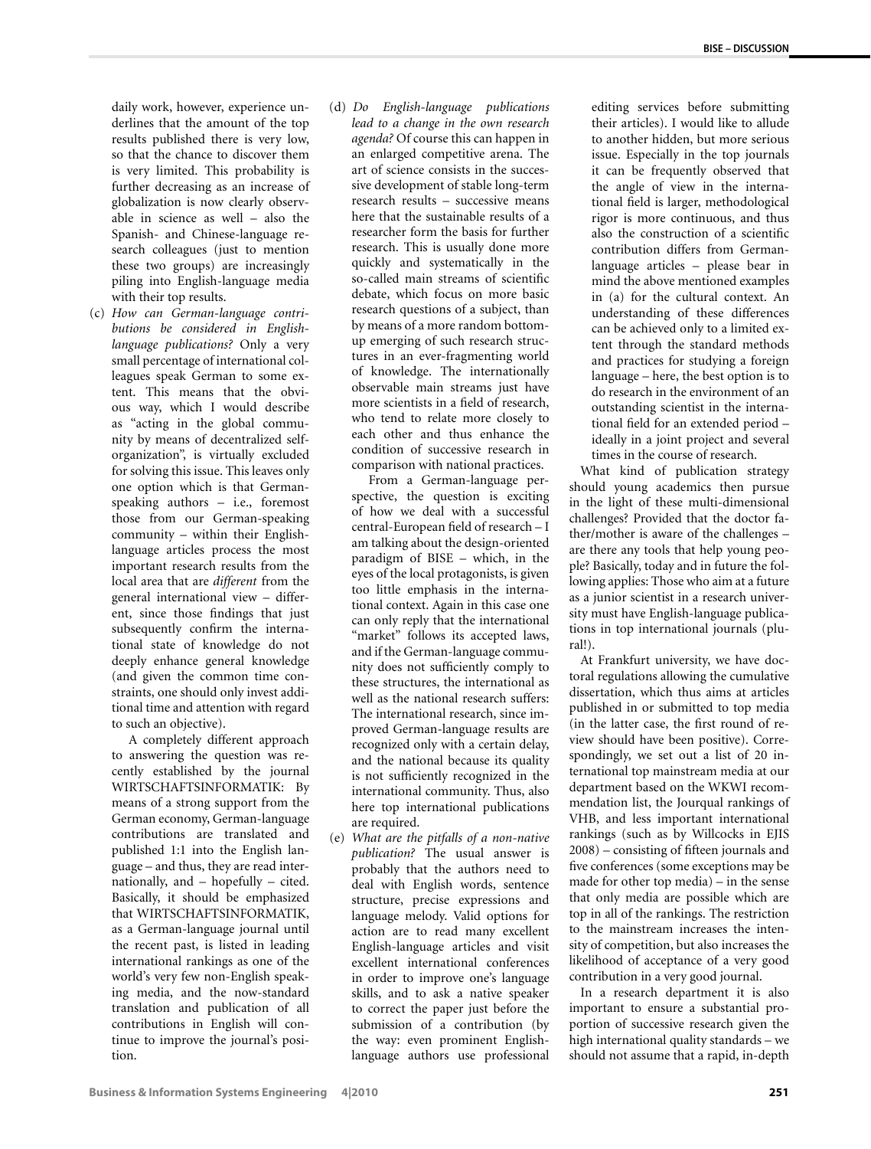daily work, however, experience underlines that the amount of the top results published there is very low, so that the chance to discover them is very limited. This probability is further decreasing as an increase of globalization is now clearly observable in science as well – also the Spanish- and Chinese-language research colleagues (just to mention these two groups) are increasingly piling into English-language media with their top results.

(c) *How can German-language contributions be considered in Englishlanguage publications?* Only a very small percentage of international colleagues speak German to some extent. This means that the obvious way, which I would describe as "acting in the global community by means of decentralized selforganization", is virtually excluded for solving this issue. This leaves only one option which is that Germanspeaking authors – i.e., foremost those from our German-speaking community – within their Englishlanguage articles process the most important research results from the local area that are *different* from the general international view – different, since those findings that just subsequently confirm the international state of knowledge do not deeply enhance general knowledge (and given the common time constraints, one should only invest additional time and attention with regard to such an objective).

A completely different approach to answering the question was recently established by the journal WIRTSCHAFTSINFORMATIK: By means of a strong support from the German economy, German-language contributions are translated and published 1:1 into the English language – and thus, they are read internationally, and – hopefully – cited. Basically, it should be emphasized that WIRTSCHAFTSINFORMATIK, as a German-language journal until the recent past, is listed in leading international rankings as one of the world's very few non-English speaking media, and the now-standard translation and publication of all contributions in English will continue to improve the journal's position.

(d) *Do English-language publications lead to a change in the own research agenda?* Of course this can happen in an enlarged competitive arena. The art of science consists in the successive development of stable long-term research results – successive means here that the sustainable results of a researcher form the basis for further research. This is usually done more quickly and systematically in the so-called main streams of scientific debate, which focus on more basic research questions of a subject, than by means of a more random bottomup emerging of such research structures in an ever-fragmenting world of knowledge. The internationally observable main streams just have more scientists in a field of research, who tend to relate more closely to each other and thus enhance the condition of successive research in comparison with national practices.

From a German-language perspective, the question is exciting of how we deal with a successful central-European field of research – I am talking about the design-oriented paradigm of BISE – which, in the eyes of the local protagonists, is given too little emphasis in the international context. Again in this case one can only reply that the international "market" follows its accepted laws, and if the German-language community does not sufficiently comply to these structures, the international as well as the national research suffers: The international research, since improved German-language results are recognized only with a certain delay, and the national because its quality is not sufficiently recognized in the international community. Thus, also here top international publications are required.

(e) *What are the pitfalls of a non-native publication?* The usual answer is probably that the authors need to deal with English words, sentence structure, precise expressions and language melody. Valid options for action are to read many excellent English-language articles and visit excellent international conferences in order to improve one's language skills, and to ask a native speaker to correct the paper just before the submission of a contribution (by the way: even prominent Englishlanguage authors use professional editing services before submitting their articles). I would like to allude to another hidden, but more serious issue. Especially in the top journals it can be frequently observed that the angle of view in the international field is larger, methodological rigor is more continuous, and thus also the construction of a scientific contribution differs from Germanlanguage articles – please bear in mind the above mentioned examples in (a) for the cultural context. An understanding of these differences can be achieved only to a limited extent through the standard methods and practices for studying a foreign language – here, the best option is to do research in the environment of an outstanding scientist in the international field for an extended period – ideally in a joint project and several times in the course of research.

What kind of publication strategy should young academics then pursue in the light of these multi-dimensional challenges? Provided that the doctor father/mother is aware of the challenges – are there any tools that help young people? Basically, today and in future the following applies: Those who aim at a future as a junior scientist in a research university must have English-language publications in top international journals (plural!).

At Frankfurt university, we have doctoral regulations allowing the cumulative dissertation, which thus aims at articles published in or submitted to top media (in the latter case, the first round of review should have been positive). Correspondingly, we set out a list of 20 international top mainstream media at our department based on the WKWI recommendation list, the Jourqual rankings of VHB, and less important international rankings (such as by Willcocks in EJIS 2008) – consisting of fifteen journals and five conferences (some exceptions may be made for other top media) – in the sense that only media are possible which are top in all of the rankings. The restriction to the mainstream increases the intensity of competition, but also increases the likelihood of acceptance of a very good contribution in a very good journal.

In a research department it is also important to ensure a substantial proportion of successive research given the high international quality standards – we should not assume that a rapid, in-depth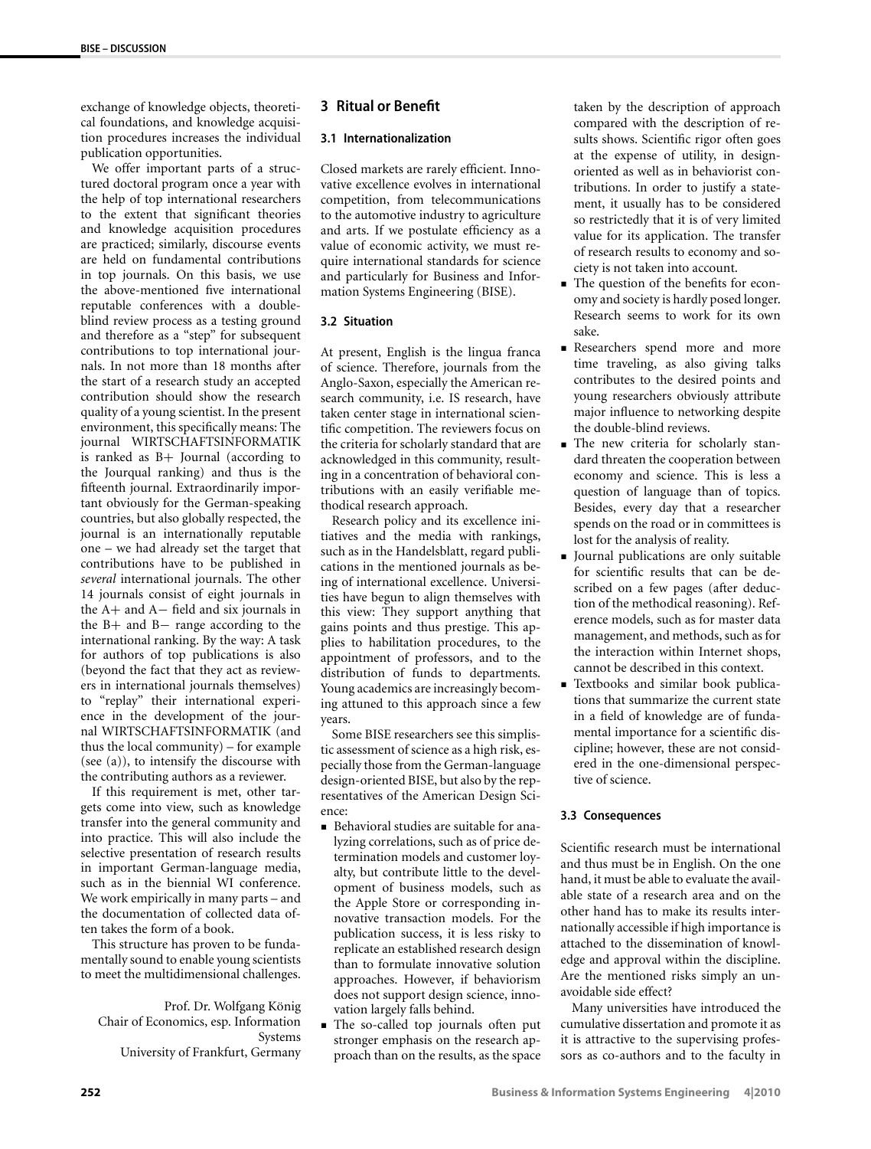exchange of knowledge objects, theoretical foundations, and knowledge acquisition procedures increases the individual publication opportunities.

We offer important parts of a structured doctoral program once a year with the help of top international researchers to the extent that significant theories and knowledge acquisition procedures are practiced; similarly, discourse events are held on fundamental contributions in top journals. On this basis, we use the above-mentioned five international reputable conferences with a doubleblind review process as a testing ground and therefore as a "step" for subsequent contributions to top international journals. In not more than 18 months after the start of a research study an accepted contribution should show the research quality of a young scientist. In the present environment, this specifically means: The journal WIRTSCHAFTSINFORMATIK is ranked as B+ Journal (according to the Jourqual ranking) and thus is the fifteenth journal. Extraordinarily important obviously for the German-speaking countries, but also globally respected, the journal is an internationally reputable one – we had already set the target that contributions have to be published in *several* international journals. The other 14 journals consist of eight journals in the A+ and A− field and six journals in the B+ and B− range according to the international ranking. By the way: A task for authors of top publications is also (beyond the fact that they act as reviewers in international journals themselves) to "replay" their international experience in the development of the journal WIRTSCHAFTSINFORMATIK (and thus the local community) – for example (see (a)), to intensify the discourse with the contributing authors as a reviewer.

If this requirement is met, other targets come into view, such as knowledge transfer into the general community and into practice. This will also include the selective presentation of research results in important German-language media, such as in the biennial WI conference. We work empirically in many parts – and the documentation of collected data often takes the form of a book.

This structure has proven to be fundamentally sound to enable young scientists to meet the multidimensional challenges.

Prof. Dr. Wolfgang König Chair of Economics, esp. Information Systems University of Frankfurt, Germany

# **3 Ritual or Benefit**

## **3.1 Internationalization**

Closed markets are rarely efficient. Innovative excellence evolves in international competition, from telecommunications to the automotive industry to agriculture and arts. If we postulate efficiency as a value of economic activity, we must require international standards for science and particularly for Business and Information Systems Engineering (BISE).

#### **3.2 Situation**

At present, English is the lingua franca of science. Therefore, journals from the Anglo-Saxon, especially the American research community, i.e. IS research, have taken center stage in international scientific competition. The reviewers focus on the criteria for scholarly standard that are acknowledged in this community, resulting in a concentration of behavioral contributions with an easily verifiable methodical research approach.

Research policy and its excellence initiatives and the media with rankings, such as in the Handelsblatt, regard publications in the mentioned journals as being of international excellence. Universities have begun to align themselves with this view: They support anything that gains points and thus prestige. This applies to habilitation procedures, to the appointment of professors, and to the distribution of funds to departments. Young academics are increasingly becoming attuned to this approach since a few years.

Some BISE researchers see this simplistic assessment of science as a high risk, especially those from the German-language design-oriented BISE, but also by the representatives of the American Design Science:

- Behavioral studies are suitable for analyzing correlations, such as of price determination models and customer loyalty, but contribute little to the development of business models, such as the Apple Store or corresponding innovative transaction models. For the publication success, it is less risky to replicate an established research design than to formulate innovative solution approaches. However, if behaviorism does not support design science, innovation largely falls behind.
- The so-called top journals often put stronger emphasis on the research approach than on the results, as the space

taken by the description of approach compared with the description of results shows. Scientific rigor often goes at the expense of utility, in designoriented as well as in behaviorist contributions. In order to justify a statement, it usually has to be considered so restrictedly that it is of very limited value for its application. The transfer of research results to economy and society is not taken into account.

- The question of the benefits for economy and society is hardly posed longer. Research seems to work for its own sake.
- Researchers spend more and more time traveling, as also giving talks contributes to the desired points and young researchers obviously attribute major influence to networking despite the double-blind reviews.
- The new criteria for scholarly standard threaten the cooperation between economy and science. This is less a question of language than of topics. Besides, every day that a researcher spends on the road or in committees is lost for the analysis of reality.
- Journal publications are only suitable for scientific results that can be described on a few pages (after deduction of the methodical reasoning). Reference models, such as for master data management, and methods, such as for the interaction within Internet shops, cannot be described in this context.
- Textbooks and similar book publications that summarize the current state in a field of knowledge are of fundamental importance for a scientific discipline; however, these are not considered in the one-dimensional perspective of science.

## **3.3 Consequences**

Scientific research must be international and thus must be in English. On the one hand, it must be able to evaluate the available state of a research area and on the other hand has to make its results internationally accessible if high importance is attached to the dissemination of knowledge and approval within the discipline. Are the mentioned risks simply an unavoidable side effect?

Many universities have introduced the cumulative dissertation and promote it as it is attractive to the supervising professors as co-authors and to the faculty in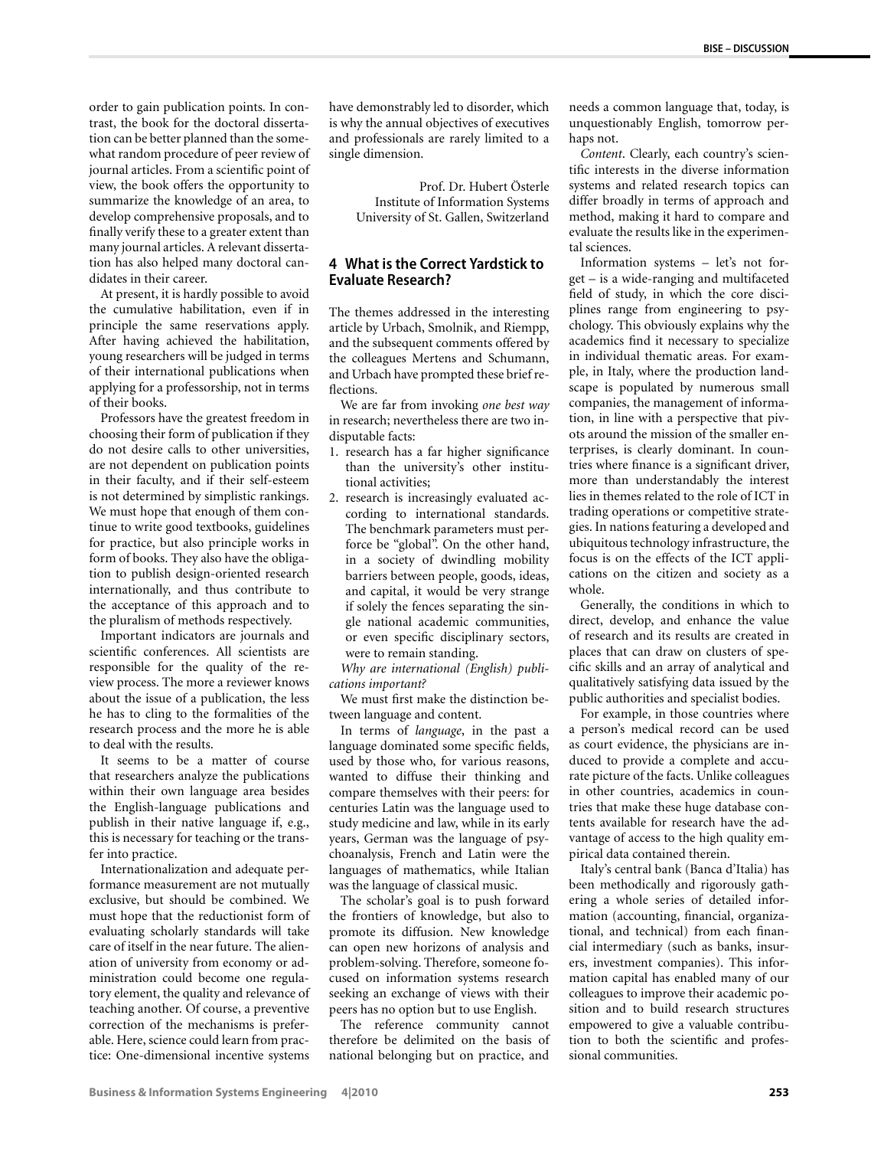order to gain publication points. In contrast, the book for the doctoral dissertation can be better planned than the somewhat random procedure of peer review of journal articles. From a scientific point of view, the book offers the opportunity to summarize the knowledge of an area, to develop comprehensive proposals, and to finally verify these to a greater extent than many journal articles. A relevant dissertation has also helped many doctoral candidates in their career.

At present, it is hardly possible to avoid the cumulative habilitation, even if in principle the same reservations apply. After having achieved the habilitation, young researchers will be judged in terms of their international publications when applying for a professorship, not in terms of their books.

Professors have the greatest freedom in choosing their form of publication if they do not desire calls to other universities, are not dependent on publication points in their faculty, and if their self-esteem is not determined by simplistic rankings. We must hope that enough of them continue to write good textbooks, guidelines for practice, but also principle works in form of books. They also have the obligation to publish design-oriented research internationally, and thus contribute to the acceptance of this approach and to the pluralism of methods respectively.

Important indicators are journals and scientific conferences. All scientists are responsible for the quality of the review process. The more a reviewer knows about the issue of a publication, the less he has to cling to the formalities of the research process and the more he is able to deal with the results.

It seems to be a matter of course that researchers analyze the publications within their own language area besides the English-language publications and publish in their native language if, e.g., this is necessary for teaching or the transfer into practice.

Internationalization and adequate performance measurement are not mutually exclusive, but should be combined. We must hope that the reductionist form of evaluating scholarly standards will take care of itself in the near future. The alienation of university from economy or administration could become one regulatory element, the quality and relevance of teaching another. Of course, a preventive correction of the mechanisms is preferable. Here, science could learn from practice: One-dimensional incentive systems have demonstrably led to disorder, which is why the annual objectives of executives and professionals are rarely limited to a single dimension.

> Prof. Dr. Hubert Österle Institute of Information Systems University of St. Gallen, Switzerland

## **4 What is the Correct Yardstick to Evaluate Research?**

The themes addressed in the interesting article by Urbach, Smolnik, and Riempp, and the subsequent comments offered by the colleagues Mertens and Schumann, and Urbach have prompted these brief reflections.

We are far from invoking *one best way* in research; nevertheless there are two indisputable facts:

- 1. research has a far higher significance than the university's other institutional activities;
- 2. research is increasingly evaluated according to international standards. The benchmark parameters must perforce be "global". On the other hand, in a society of dwindling mobility barriers between people, goods, ideas, and capital, it would be very strange if solely the fences separating the single national academic communities, or even specific disciplinary sectors, were to remain standing.

*Why are international (English) publications important?*

We must first make the distinction between language and content.

In terms of *language*, in the past a language dominated some specific fields, used by those who, for various reasons, wanted to diffuse their thinking and compare themselves with their peers: for centuries Latin was the language used to study medicine and law, while in its early years, German was the language of psychoanalysis, French and Latin were the languages of mathematics, while Italian was the language of classical music.

The scholar's goal is to push forward the frontiers of knowledge, but also to promote its diffusion. New knowledge can open new horizons of analysis and problem-solving. Therefore, someone focused on information systems research seeking an exchange of views with their peers has no option but to use English.

The reference community cannot therefore be delimited on the basis of national belonging but on practice, and

needs a common language that, today, is unquestionably English, tomorrow perhaps not.

*Content*. Clearly, each country's scientific interests in the diverse information systems and related research topics can differ broadly in terms of approach and method, making it hard to compare and evaluate the results like in the experimental sciences.

Information systems – let's not forget – is a wide-ranging and multifaceted field of study, in which the core disciplines range from engineering to psychology. This obviously explains why the academics find it necessary to specialize in individual thematic areas. For example, in Italy, where the production landscape is populated by numerous small companies, the management of information, in line with a perspective that pivots around the mission of the smaller enterprises, is clearly dominant. In countries where finance is a significant driver, more than understandably the interest lies in themes related to the role of ICT in trading operations or competitive strategies. In nations featuring a developed and ubiquitous technology infrastructure, the focus is on the effects of the ICT applications on the citizen and society as a whole.

Generally, the conditions in which to direct, develop, and enhance the value of research and its results are created in places that can draw on clusters of specific skills and an array of analytical and qualitatively satisfying data issued by the public authorities and specialist bodies.

For example, in those countries where a person's medical record can be used as court evidence, the physicians are induced to provide a complete and accurate picture of the facts. Unlike colleagues in other countries, academics in countries that make these huge database contents available for research have the advantage of access to the high quality empirical data contained therein.

Italy's central bank (Banca d'Italia) has been methodically and rigorously gathering a whole series of detailed information (accounting, financial, organizational, and technical) from each financial intermediary (such as banks, insurers, investment companies). This information capital has enabled many of our colleagues to improve their academic position and to build research structures empowered to give a valuable contribution to both the scientific and professional communities.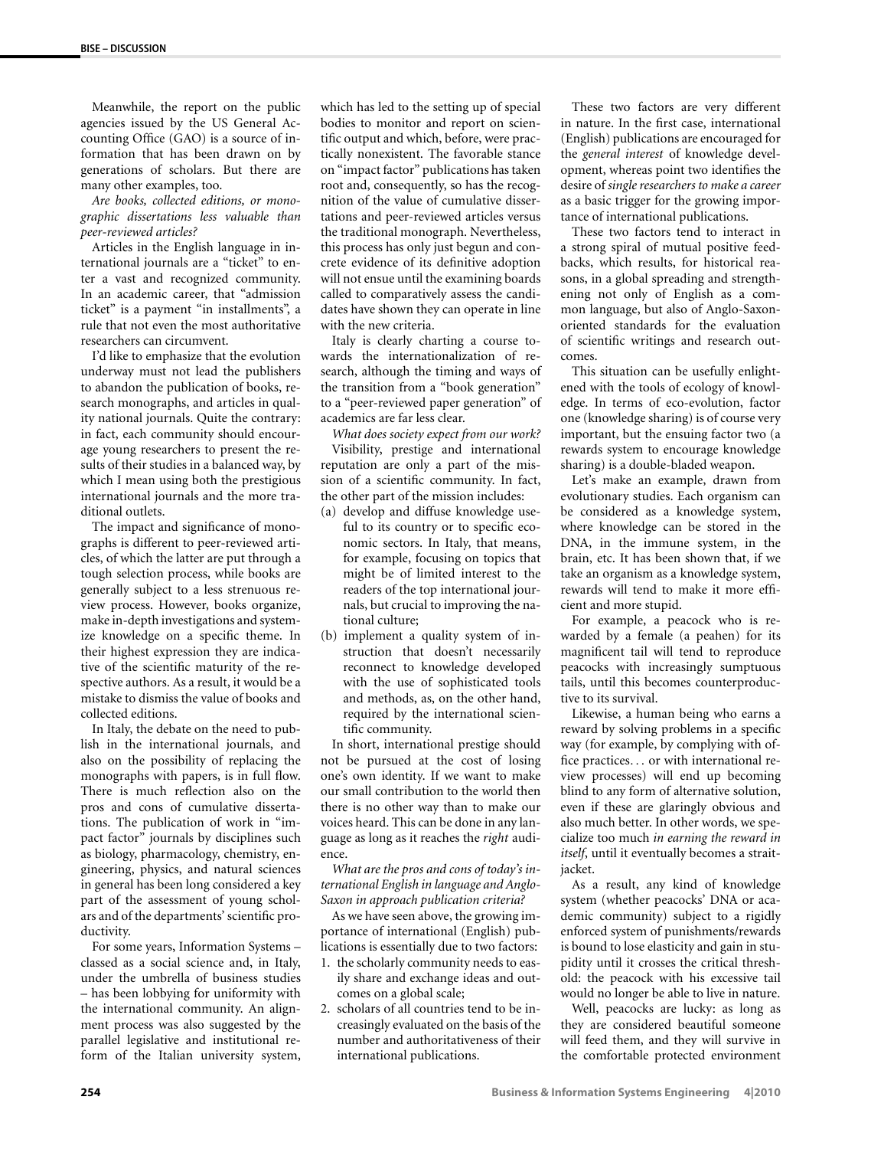Meanwhile, the report on the public agencies issued by the US General Accounting Office (GAO) is a source of information that has been drawn on by generations of scholars. But there are many other examples, too.

*Are books, collected editions, or monographic dissertations less valuable than peer-reviewed articles?*

Articles in the English language in international journals are a "ticket" to enter a vast and recognized community. In an academic career, that "admission ticket" is a payment "in installments", a rule that not even the most authoritative researchers can circumvent.

I'd like to emphasize that the evolution underway must not lead the publishers to abandon the publication of books, research monographs, and articles in quality national journals. Quite the contrary: in fact, each community should encourage young researchers to present the results of their studies in a balanced way, by which I mean using both the prestigious international journals and the more traditional outlets.

The impact and significance of monographs is different to peer-reviewed articles, of which the latter are put through a tough selection process, while books are generally subject to a less strenuous review process. However, books organize, make in-depth investigations and systemize knowledge on a specific theme. In their highest expression they are indicative of the scientific maturity of the respective authors. As a result, it would be a mistake to dismiss the value of books and collected editions.

In Italy, the debate on the need to publish in the international journals, and also on the possibility of replacing the monographs with papers, is in full flow. There is much reflection also on the pros and cons of cumulative dissertations. The publication of work in "impact factor" journals by disciplines such as biology, pharmacology, chemistry, engineering, physics, and natural sciences in general has been long considered a key part of the assessment of young scholars and of the departments' scientific productivity.

For some years, Information Systems – classed as a social science and, in Italy, under the umbrella of business studies – has been lobbying for uniformity with the international community. An alignment process was also suggested by the parallel legislative and institutional reform of the Italian university system,

which has led to the setting up of special bodies to monitor and report on scientific output and which, before, were practically nonexistent. The favorable stance on "impact factor" publications has taken root and, consequently, so has the recognition of the value of cumulative dissertations and peer-reviewed articles versus the traditional monograph. Nevertheless, this process has only just begun and concrete evidence of its definitive adoption will not ensue until the examining boards called to comparatively assess the candidates have shown they can operate in line with the new criteria.

Italy is clearly charting a course towards the internationalization of research, although the timing and ways of the transition from a "book generation" to a "peer-reviewed paper generation" of academics are far less clear.

*What does society expect from our work?* Visibility, prestige and international reputation are only a part of the mission of a scientific community. In fact, the other part of the mission includes:

- (a) develop and diffuse knowledge useful to its country or to specific economic sectors. In Italy, that means, for example, focusing on topics that might be of limited interest to the readers of the top international journals, but crucial to improving the national culture;
- (b) implement a quality system of instruction that doesn't necessarily reconnect to knowledge developed with the use of sophisticated tools and methods, as, on the other hand, required by the international scientific community.

In short, international prestige should not be pursued at the cost of losing one's own identity. If we want to make our small contribution to the world then there is no other way than to make our voices heard. This can be done in any language as long as it reaches the *right* audience.

*What are the pros and cons of today's international English in language and Anglo-Saxon in approach publication criteria?*

As we have seen above, the growing importance of international (English) publications is essentially due to two factors:

- 1. the scholarly community needs to easily share and exchange ideas and outcomes on a global scale;
- 2. scholars of all countries tend to be increasingly evaluated on the basis of the number and authoritativeness of their international publications.

These two factors are very different in nature. In the first case, international (English) publications are encouraged for the *general interest* of knowledge development, whereas point two identifies the desire of *single researchers to make a career* as a basic trigger for the growing importance of international publications.

These two factors tend to interact in a strong spiral of mutual positive feedbacks, which results, for historical reasons, in a global spreading and strengthening not only of English as a common language, but also of Anglo-Saxonoriented standards for the evaluation of scientific writings and research outcomes.

This situation can be usefully enlightened with the tools of ecology of knowledge. In terms of eco-evolution, factor one (knowledge sharing) is of course very important, but the ensuing factor two (a rewards system to encourage knowledge sharing) is a double-bladed weapon.

Let's make an example, drawn from evolutionary studies. Each organism can be considered as a knowledge system, where knowledge can be stored in the DNA, in the immune system, in the brain, etc. It has been shown that, if we take an organism as a knowledge system, rewards will tend to make it more efficient and more stupid.

For example, a peacock who is rewarded by a female (a peahen) for its magnificent tail will tend to reproduce peacocks with increasingly sumptuous tails, until this becomes counterproductive to its survival.

Likewise, a human being who earns a reward by solving problems in a specific way (for example, by complying with office practices*...* or with international review processes) will end up becoming blind to any form of alternative solution, even if these are glaringly obvious and also much better. In other words, we specialize too much *in earning the reward in itself*, until it eventually becomes a straitjacket.

As a result, any kind of knowledge system (whether peacocks' DNA or academic community) subject to a rigidly enforced system of punishments/rewards is bound to lose elasticity and gain in stupidity until it crosses the critical threshold: the peacock with his excessive tail would no longer be able to live in nature.

Well, peacocks are lucky: as long as they are considered beautiful someone will feed them, and they will survive in the comfortable protected environment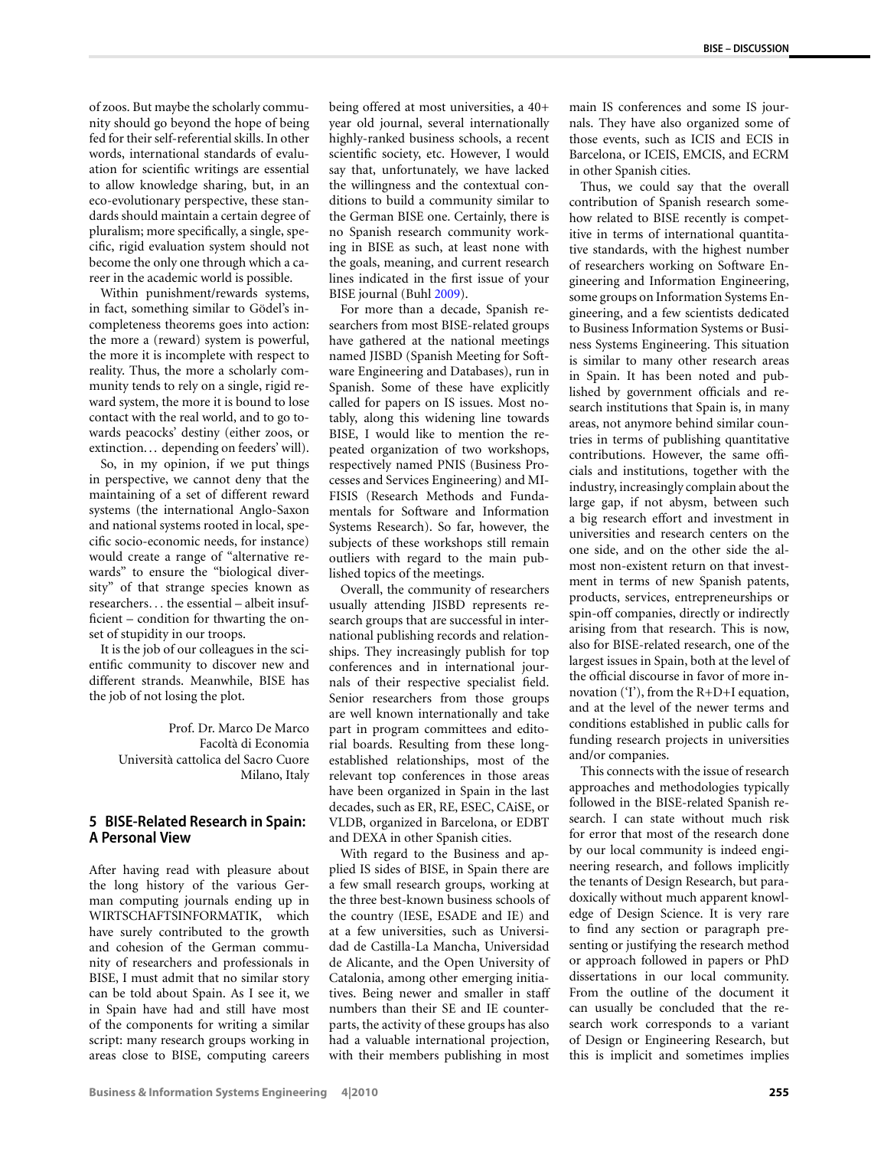of zoos. But maybe the scholarly community should go beyond the hope of being fed for their self-referential skills. In other words, international standards of evaluation for scientific writings are essential to allow knowledge sharing, but, in an eco-evolutionary perspective, these standards should maintain a certain degree of pluralism; more specifically, a single, specific, rigid evaluation system should not become the only one through which a career in the academic world is possible.

Within punishment/rewards systems, in fact, something similar to Gödel's incompleteness theorems goes into action: the more a (reward) system is powerful, the more it is incomplete with respect to reality. Thus, the more a scholarly community tends to rely on a single, rigid reward system, the more it is bound to lose contact with the real world, and to go towards peacocks' destiny (either zoos, or extinction. . . depending on feeders' will).

So, in my opinion, if we put things in perspective, we cannot deny that the maintaining of a set of different reward systems (the international Anglo-Saxon and national systems rooted in local, specific socio-economic needs, for instance) would create a range of "alternative rewards" to ensure the "biological diversity" of that strange species known as researchers*...* the essential – albeit insufficient – condition for thwarting the onset of stupidity in our troops.

It is the job of our colleagues in the scientific community to discover new and different strands. Meanwhile, BISE has the job of not losing the plot.

> Prof. Dr. Marco De Marco Facoltà di Economia Università cattolica del Sacro Cuore Milano, Italy

# **5 BISE-Related Research in Spain: A Personal View**

After having read with pleasure about the long history of the various German computing journals ending up in WIRTSCHAFTSINFORMATIK, which have surely contributed to the growth and cohesion of the German community of researchers and professionals in BISE, I must admit that no similar story can be told about Spain. As I see it, we in Spain have had and still have most of the components for writing a similar script: many research groups working in areas close to BISE, computing careers

being offered at most universities, a 40+ year old journal, several internationally highly-ranked business schools, a recent scientific society, etc. However, I would say that, unfortunately, we have lacked the willingness and the contextual conditions to build a community similar to the German BISE one. Certainly, there is no Spanish research community working in BISE as such, at least none with the goals, meaning, and current research lines indicated in the first issue of your BISE journal (Buhl [2009](#page-9-0)).

For more than a decade, Spanish researchers from most BISE-related groups have gathered at the national meetings named JISBD (Spanish Meeting for Software Engineering and Databases), run in Spanish. Some of these have explicitly called for papers on IS issues. Most notably, along this widening line towards BISE, I would like to mention the repeated organization of two workshops, respectively named PNIS (Business Processes and Services Engineering) and MI-FISIS (Research Methods and Fundamentals for Software and Information Systems Research). So far, however, the subjects of these workshops still remain outliers with regard to the main published topics of the meetings.

Overall, the community of researchers usually attending JISBD represents research groups that are successful in international publishing records and relationships. They increasingly publish for top conferences and in international journals of their respective specialist field. Senior researchers from those groups are well known internationally and take part in program committees and editorial boards. Resulting from these longestablished relationships, most of the relevant top conferences in those areas have been organized in Spain in the last decades, such as ER, RE, ESEC, CAiSE, or VLDB, organized in Barcelona, or EDBT and DEXA in other Spanish cities.

With regard to the Business and applied IS sides of BISE, in Spain there are a few small research groups, working at the three best-known business schools of the country (IESE, ESADE and IE) and at a few universities, such as Universidad de Castilla-La Mancha, Universidad de Alicante, and the Open University of Catalonia, among other emerging initiatives. Being newer and smaller in staff numbers than their SE and IE counterparts, the activity of these groups has also had a valuable international projection, with their members publishing in most

main IS conferences and some IS journals. They have also organized some of those events, such as ICIS and ECIS in Barcelona, or ICEIS, EMCIS, and ECRM in other Spanish cities.

Thus, we could say that the overall contribution of Spanish research somehow related to BISE recently is competitive in terms of international quantitative standards, with the highest number of researchers working on Software Engineering and Information Engineering, some groups on Information Systems Engineering, and a few scientists dedicated to Business Information Systems or Business Systems Engineering. This situation is similar to many other research areas in Spain. It has been noted and published by government officials and research institutions that Spain is, in many areas, not anymore behind similar countries in terms of publishing quantitative contributions. However, the same officials and institutions, together with the industry, increasingly complain about the large gap, if not abysm, between such a big research effort and investment in universities and research centers on the one side, and on the other side the almost non-existent return on that investment in terms of new Spanish patents, products, services, entrepreneurships or spin-off companies, directly or indirectly arising from that research. This is now, also for BISE-related research, one of the largest issues in Spain, both at the level of the official discourse in favor of more innovation ('I'), from the R+D+I equation, and at the level of the newer terms and conditions established in public calls for funding research projects in universities and/or companies.

This connects with the issue of research approaches and methodologies typically followed in the BISE-related Spanish research. I can state without much risk for error that most of the research done by our local community is indeed engineering research, and follows implicitly the tenants of Design Research, but paradoxically without much apparent knowledge of Design Science. It is very rare to find any section or paragraph presenting or justifying the research method or approach followed in papers or PhD dissertations in our local community. From the outline of the document it can usually be concluded that the research work corresponds to a variant of Design or Engineering Research, but this is implicit and sometimes implies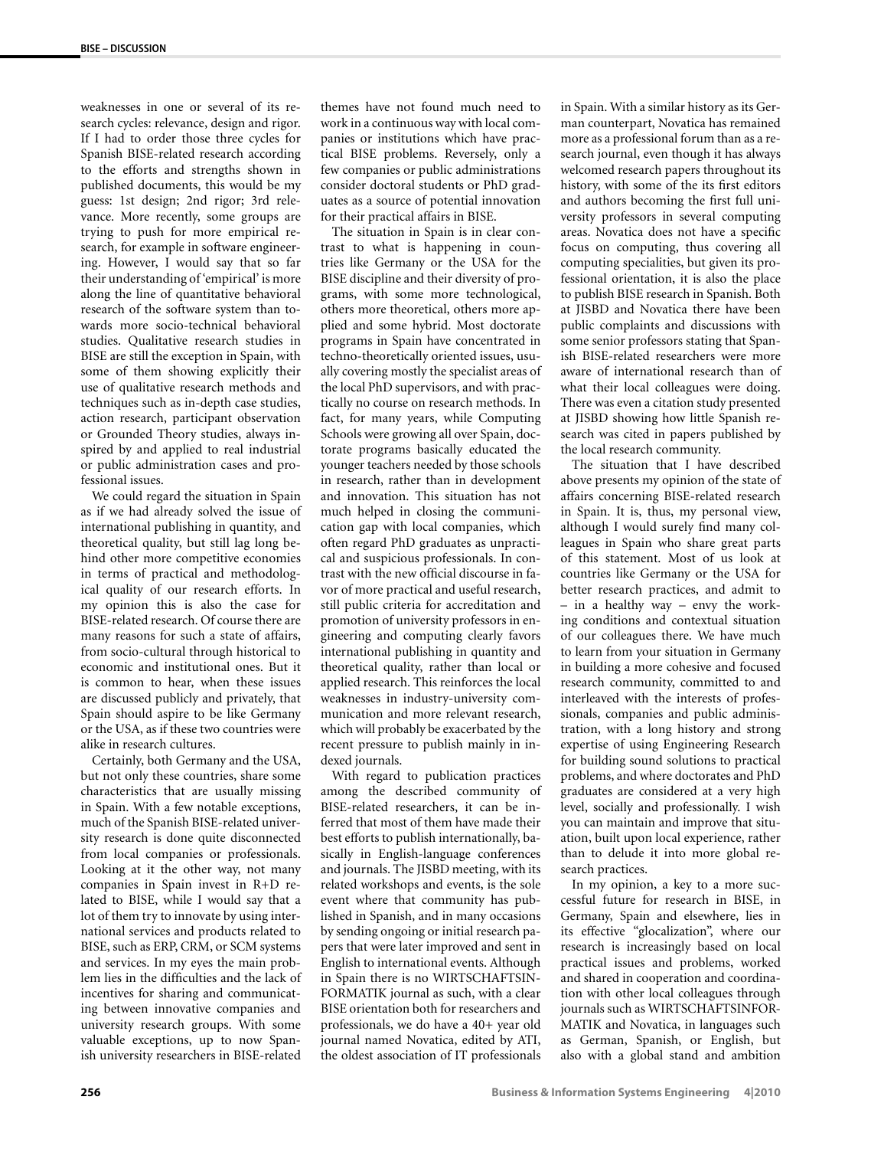weaknesses in one or several of its research cycles: relevance, design and rigor. If I had to order those three cycles for Spanish BISE-related research according to the efforts and strengths shown in published documents, this would be my guess: 1st design; 2nd rigor; 3rd relevance. More recently, some groups are trying to push for more empirical research, for example in software engineering. However, I would say that so far their understanding of 'empirical' is more along the line of quantitative behavioral research of the software system than towards more socio-technical behavioral studies. Qualitative research studies in BISE are still the exception in Spain, with some of them showing explicitly their use of qualitative research methods and techniques such as in-depth case studies, action research, participant observation or Grounded Theory studies, always inspired by and applied to real industrial or public administration cases and professional issues.

We could regard the situation in Spain as if we had already solved the issue of international publishing in quantity, and theoretical quality, but still lag long behind other more competitive economies in terms of practical and methodological quality of our research efforts. In my opinion this is also the case for BISE-related research. Of course there are many reasons for such a state of affairs, from socio-cultural through historical to economic and institutional ones. But it is common to hear, when these issues are discussed publicly and privately, that Spain should aspire to be like Germany or the USA, as if these two countries were alike in research cultures.

Certainly, both Germany and the USA, but not only these countries, share some characteristics that are usually missing in Spain. With a few notable exceptions, much of the Spanish BISE-related university research is done quite disconnected from local companies or professionals. Looking at it the other way, not many companies in Spain invest in R+D related to BISE, while I would say that a lot of them try to innovate by using international services and products related to BISE, such as ERP, CRM, or SCM systems and services. In my eyes the main problem lies in the difficulties and the lack of incentives for sharing and communicating between innovative companies and university research groups. With some valuable exceptions, up to now Spanish university researchers in BISE-related

themes have not found much need to work in a continuous way with local companies or institutions which have practical BISE problems. Reversely, only a few companies or public administrations consider doctoral students or PhD graduates as a source of potential innovation for their practical affairs in BISE.

The situation in Spain is in clear contrast to what is happening in countries like Germany or the USA for the BISE discipline and their diversity of programs, with some more technological, others more theoretical, others more applied and some hybrid. Most doctorate programs in Spain have concentrated in techno-theoretically oriented issues, usually covering mostly the specialist areas of the local PhD supervisors, and with practically no course on research methods. In fact, for many years, while Computing Schools were growing all over Spain, doctorate programs basically educated the younger teachers needed by those schools in research, rather than in development and innovation. This situation has not much helped in closing the communication gap with local companies, which often regard PhD graduates as unpractical and suspicious professionals. In contrast with the new official discourse in favor of more practical and useful research, still public criteria for accreditation and promotion of university professors in engineering and computing clearly favors international publishing in quantity and theoretical quality, rather than local or applied research. This reinforces the local weaknesses in industry-university communication and more relevant research, which will probably be exacerbated by the recent pressure to publish mainly in indexed journals.

With regard to publication practices among the described community of BISE-related researchers, it can be inferred that most of them have made their best efforts to publish internationally, basically in English-language conferences and journals. The JISBD meeting, with its related workshops and events, is the sole event where that community has published in Spanish, and in many occasions by sending ongoing or initial research papers that were later improved and sent in English to international events. Although in Spain there is no WIRTSCHAFTSIN-FORMATIK journal as such, with a clear BISE orientation both for researchers and professionals, we do have a 40+ year old journal named Novatica, edited by ATI, the oldest association of IT professionals in Spain. With a similar history as its German counterpart, Novatica has remained more as a professional forum than as a research journal, even though it has always welcomed research papers throughout its history, with some of the its first editors and authors becoming the first full university professors in several computing areas. Novatica does not have a specific focus on computing, thus covering all computing specialities, but given its professional orientation, it is also the place to publish BISE research in Spanish. Both at JISBD and Novatica there have been public complaints and discussions with some senior professors stating that Spanish BISE-related researchers were more aware of international research than of what their local colleagues were doing. There was even a citation study presented at JISBD showing how little Spanish research was cited in papers published by the local research community.

The situation that I have described above presents my opinion of the state of affairs concerning BISE-related research in Spain. It is, thus, my personal view, although I would surely find many colleagues in Spain who share great parts of this statement. Most of us look at countries like Germany or the USA for better research practices, and admit to – in a healthy way – envy the working conditions and contextual situation of our colleagues there. We have much to learn from your situation in Germany in building a more cohesive and focused research community, committed to and interleaved with the interests of professionals, companies and public administration, with a long history and strong expertise of using Engineering Research for building sound solutions to practical problems, and where doctorates and PhD graduates are considered at a very high level, socially and professionally. I wish you can maintain and improve that situation, built upon local experience, rather than to delude it into more global research practices.

In my opinion, a key to a more successful future for research in BISE, in Germany, Spain and elsewhere, lies in its effective "glocalization", where our research is increasingly based on local practical issues and problems, worked and shared in cooperation and coordination with other local colleagues through journals such as WIRTSCHAFTSINFOR-MATIK and Novatica, in languages such as German, Spanish, or English, but also with a global stand and ambition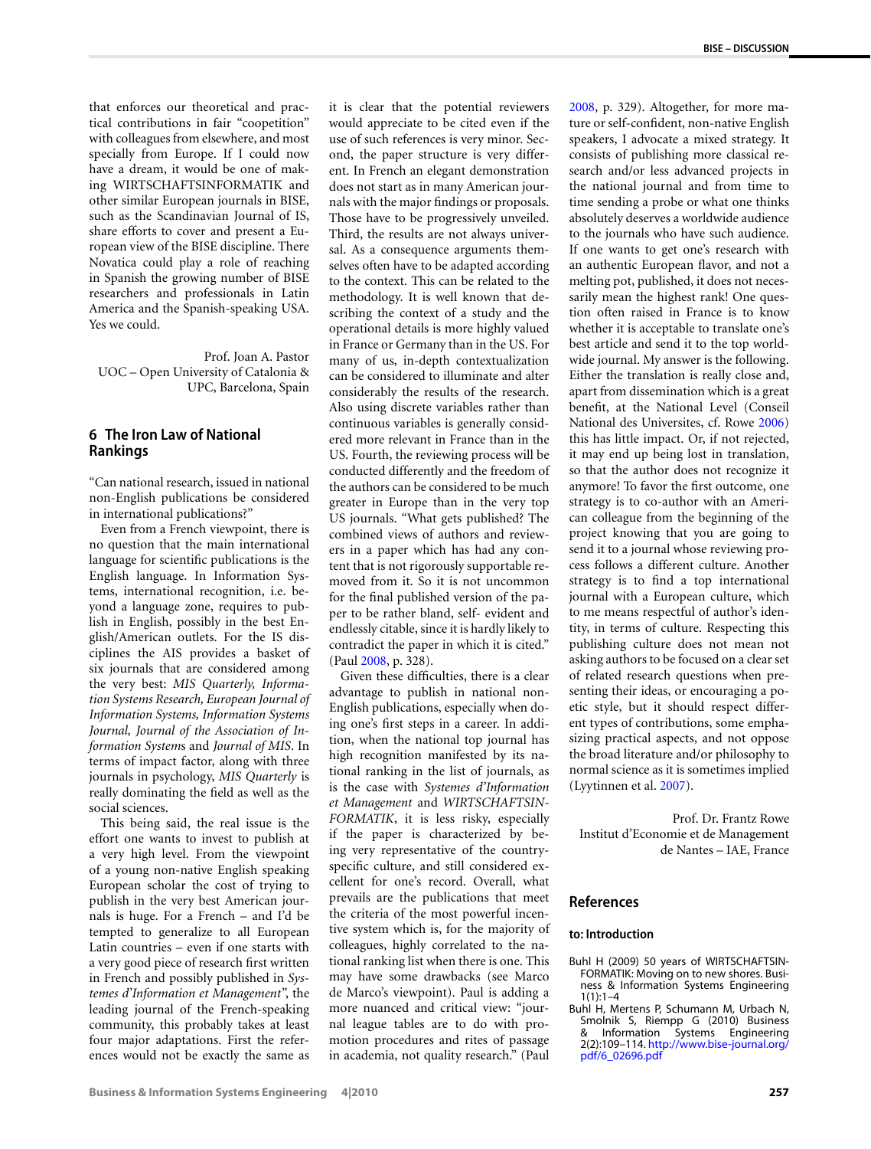<span id="page-8-0"></span>that enforces our theoretical and practical contributions in fair "coopetition" with colleagues from elsewhere, and most specially from Europe. If I could now have a dream, it would be one of making WIRTSCHAFTSINFORMATIK and other similar European journals in BISE, such as the Scandinavian Journal of IS, share efforts to cover and present a European view of the BISE discipline. There Novatica could play a role of reaching in Spanish the growing number of BISE researchers and professionals in Latin America and the Spanish-speaking USA. Yes we could.

Prof. Joan A. Pastor UOC – Open University of Catalonia & UPC, Barcelona, Spain

# **6 The Iron Law of National Rankings**

"Can national research, issued in national non-English publications be considered in international publications?"

Even from a French viewpoint, there is no question that the main international language for scientific publications is the English language. In Information Systems, international recognition, i.e. beyond a language zone, requires to publish in English, possibly in the best English/American outlets. For the IS disciplines the AIS provides a basket of six journals that are considered among the very best: *MIS Quarterly, Information Systems Research, European Journal of Information Systems, Information Systems Journal, Journal of the Association of Information System*s and *Journal of MIS*. In terms of impact factor, along with three journals in psychology, *MIS Quarterly* is really dominating the field as well as the social sciences.

This being said, the real issue is the effort one wants to invest to publish at a very high level. From the viewpoint of a young non-native English speaking European scholar the cost of trying to publish in the very best American journals is huge. For a French – and I'd be tempted to generalize to all European Latin countries – even if one starts with a very good piece of research first written in French and possibly published in *Systemes d'Information et Management*", the leading journal of the French-speaking community, this probably takes at least four major adaptations. First the references would not be exactly the same as it is clear that the potential reviewers would appreciate to be cited even if the use of such references is very minor. Second, the paper structure is very different. In French an elegant demonstration does not start as in many American journals with the major findings or proposals. Those have to be progressively unveiled. Third, the results are not always universal. As a consequence arguments themselves often have to be adapted according to the context. This can be related to the methodology. It is well known that describing the context of a study and the operational details is more highly valued in France or Germany than in the US. For many of us, in-depth contextualization can be considered to illuminate and alter considerably the results of the research. Also using discrete variables rather than continuous variables is generally considered more relevant in France than in the US. Fourth, the reviewing process will be conducted differently and the freedom of the authors can be considered to be much greater in Europe than in the very top US journals. "What gets published? The combined views of authors and reviewers in a paper which has had any content that is not rigorously supportable removed from it. So it is not uncommon for the final published version of the paper to be rather bland, self- evident and endlessly citable, since it is hardly likely to contradict the paper in which it is cited." (Paul [2008](#page-9-0), p. 328).

Given these difficulties, there is a clear advantage to publish in national non-English publications, especially when doing one's first steps in a career. In addition, when the national top journal has high recognition manifested by its national ranking in the list of journals, as is the case with *Systemes d'Information et Management* and *WIRTSCHAFTSIN-FORMATIK*, it is less risky, especially if the paper is characterized by being very representative of the countryspecific culture, and still considered excellent for one's record. Overall, what prevails are the publications that meet the criteria of the most powerful incentive system which is, for the majority of colleagues, highly correlated to the national ranking list when there is one. This may have some drawbacks (see Marco de Marco's viewpoint). Paul is adding a more nuanced and critical view: "journal league tables are to do with promotion procedures and rites of passage in academia, not quality research." (Paul

[2008](#page-9-0), p. 329). Altogether, for more mature or self-confident, non-native English speakers, I advocate a mixed strategy. It consists of publishing more classical research and/or less advanced projects in the national journal and from time to time sending a probe or what one thinks absolutely deserves a worldwide audience to the journals who have such audience. If one wants to get one's research with an authentic European flavor, and not a melting pot, published, it does not necessarily mean the highest rank! One question often raised in France is to know whether it is acceptable to translate one's best article and send it to the top worldwide journal. My answer is the following. Either the translation is really close and, apart from dissemination which is a great benefit, at the National Level (Conseil National des Universites, cf. Rowe [2006\)](#page-9-0) this has little impact. Or, if not rejected, it may end up being lost in translation, so that the author does not recognize it anymore! To favor the first outcome, one strategy is to co-author with an American colleague from the beginning of the project knowing that you are going to send it to a journal whose reviewing process follows a different culture. Another strategy is to find a top international journal with a European culture, which to me means respectful of author's identity, in terms of culture. Respecting this publishing culture does not mean not asking authors to be focused on a clear set of related research questions when presenting their ideas, or encouraging a poetic style, but it should respect different types of contributions, some emphasizing practical aspects, and not oppose the broad literature and/or philosophy to normal science as it is sometimes implied (Lyytinnen et al. [2007](#page-9-0)).

Prof. Dr. Frantz Rowe Institut d'Economie et de Management de Nantes – IAE, France

# **References**

#### **to: Introduction**

- Buhl H (2009) 50 years of WIRTSCHAFTSIN-FORMATIK: Moving on to new shores. Business & Information Systems Engineering  $1(1):1-4$
- Buhl H, Mertens P, Schumann M, Urbach N, Smolnik S, Riempp G (2010) Business Information Systems Engineering 2(2):109–114. [http://www.bise-journal.org/](http://www.bise-journal.org/pdf/6_02696.pdf) [pdf/6\\_02696.pdf](http://www.bise-journal.org/pdf/6_02696.pdf)